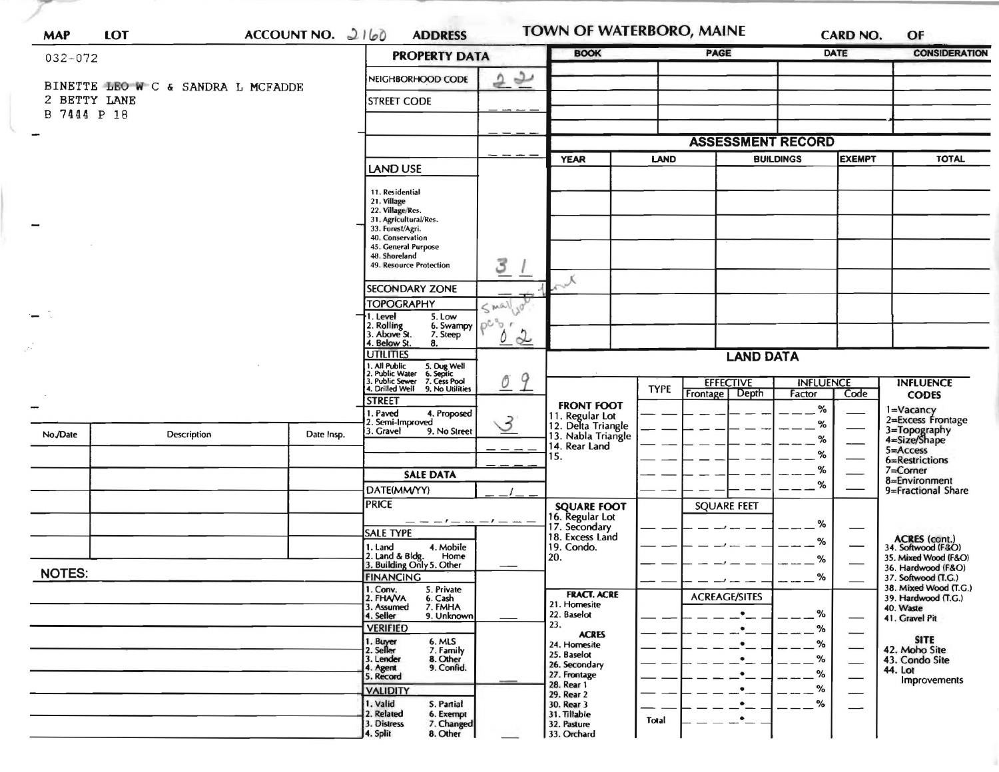| <b>MAP</b>                  | <b>LOT</b>                         | ACCOUNT NO. $2160$ | <b>ADDRESS</b>                                                                                                                                       |                                      | <b>TOWN OF WATERBORO, MAINE</b><br><b>BOOK</b> |             | <b>PAGE</b>                                           |                  |                                                                                                                                                                                                                                                                        | OF<br><b>CONSIDERATION</b>                   |
|-----------------------------|------------------------------------|--------------------|------------------------------------------------------------------------------------------------------------------------------------------------------|--------------------------------------|------------------------------------------------|-------------|-------------------------------------------------------|------------------|------------------------------------------------------------------------------------------------------------------------------------------------------------------------------------------------------------------------------------------------------------------------|----------------------------------------------|
| $032 - 072$                 |                                    |                    | <b>PROPERTY DATA</b>                                                                                                                                 |                                      |                                                |             |                                                       |                  |                                                                                                                                                                                                                                                                        |                                              |
|                             | BINETTE LEO W C & SANDRA L MCFADDE |                    | NEIGHBORHOOD CODE                                                                                                                                    | 22                                   |                                                |             |                                                       |                  |                                                                                                                                                                                                                                                                        |                                              |
| 2 BETTY LANE<br>B 7444 P 18 |                                    |                    | <b>STREET CODE</b>                                                                                                                                   |                                      |                                                |             |                                                       |                  |                                                                                                                                                                                                                                                                        |                                              |
|                             |                                    |                    |                                                                                                                                                      |                                      |                                                |             | <b>ASSESSMENT RECORD</b>                              |                  |                                                                                                                                                                                                                                                                        |                                              |
|                             |                                    |                    | <b>LAND USE</b>                                                                                                                                      |                                      | <b>YEAR</b>                                    | <b>LAND</b> |                                                       | <b>BUILDINGS</b> | <b>CARD NO.</b><br>DATE<br><b>EXEMPT</b><br><b>INFLUENCE</b><br>Code<br>Factor<br>%<br>%<br>%<br>%<br>%<br>%<br>%<br>%<br>%<br>%<br>%<br>%<br>%<br>$\overbrace{\phantom{aaaaa}}$<br>%<br>$\overline{\phantom{0}}$<br>℅<br>$\overbrace{\phantom{aaaaa}}$<br>%<br>—<br>℅ | <b>TOTAL</b>                                 |
|                             |                                    |                    |                                                                                                                                                      |                                      |                                                |             |                                                       |                  |                                                                                                                                                                                                                                                                        |                                              |
|                             |                                    |                    | 11. Residential<br>21. Village<br>22. Village/Res.<br>31. Agricultural/Res.                                                                          |                                      |                                                |             |                                                       |                  |                                                                                                                                                                                                                                                                        |                                              |
|                             |                                    |                    | 33. Forest/Agri.<br>40. Conservation                                                                                                                 |                                      |                                                |             |                                                       |                  |                                                                                                                                                                                                                                                                        |                                              |
|                             |                                    |                    | 45. General Purpose<br>48. Shoreland                                                                                                                 |                                      |                                                |             |                                                       |                  |                                                                                                                                                                                                                                                                        |                                              |
|                             |                                    |                    | 49. Resource Protection                                                                                                                              | 3                                    | $\lambda_{\rm c}$                              |             |                                                       |                  |                                                                                                                                                                                                                                                                        |                                              |
|                             |                                    |                    | <b>SECONDARY ZONE</b><br><b>TOPOGRAPHY</b>                                                                                                           |                                      |                                                |             |                                                       |                  |                                                                                                                                                                                                                                                                        |                                              |
|                             |                                    |                    | 1. Level<br>5. Low                                                                                                                                   | $\leq m\alpha\sqrt{2}$<br>$\sqrt{0}$ |                                                |             |                                                       |                  |                                                                                                                                                                                                                                                                        |                                              |
|                             |                                    |                    | 6. Swampy $\left[\begin{array}{c} \rho \mathbb{C}^n \mathbb{Q}^n \end{array}\right]$<br>2. Rolling<br>3. Above St.<br>7. Steep<br>4. Below St.<br>8. | 0<br>$\alpha$                        |                                                |             |                                                       |                  |                                                                                                                                                                                                                                                                        |                                              |
|                             |                                    |                    | <b>UTILITIES</b>                                                                                                                                     |                                      |                                                |             | <b>LAND DATA</b>                                      |                  |                                                                                                                                                                                                                                                                        |                                              |
|                             |                                    |                    | 1. All Public<br>2. Public Water<br>5. Dug Well<br>6. Septic<br>7. Cess Pool<br>3. Public Sewer                                                      | 9<br>$\emptyset$                     |                                                |             | <b>EFFECTIVE</b>                                      |                  |                                                                                                                                                                                                                                                                        | <b>INFLUENCE</b>                             |
|                             |                                    |                    | 4. Drilled Well<br>9. No Utilities<br><b>STREET</b>                                                                                                  |                                      | <b>FRONT FOOT</b>                              | <b>TYPE</b> | Frontage   Depth                                      |                  |                                                                                                                                                                                                                                                                        | <b>CODES</b>                                 |
|                             |                                    |                    | . Paved<br>4. Proposed<br>2. Semi-Improved                                                                                                           | 3                                    | 11. Regular Lot<br>12. Delta Triangle          |             |                                                       |                  |                                                                                                                                                                                                                                                                        | 1=Vacancy<br>2=Excess Frontage               |
| No./Date                    | Description                        | Date Insp.         | 3. Gravel<br>9. No Street                                                                                                                            |                                      | 13. Nabla Triangle<br>14. Rear Land            |             |                                                       |                  |                                                                                                                                                                                                                                                                        | 3=Topography<br>4=Size/Shape<br>$5 =$ Access |
|                             |                                    |                    |                                                                                                                                                      |                                      | 15.                                            |             |                                                       |                  |                                                                                                                                                                                                                                                                        | 6=Restrictions                               |
|                             |                                    |                    | <b>SALE DATA</b>                                                                                                                                     |                                      |                                                |             |                                                       |                  |                                                                                                                                                                                                                                                                        | 7=Corner<br>8=Environment                    |
|                             |                                    |                    | DATE(MM/YY)<br><b>PRICE</b>                                                                                                                          |                                      | <b>SQUARE FOOT</b>                             |             | <b>SQUARE FEET</b>                                    |                  |                                                                                                                                                                                                                                                                        | 9=Fractional Share                           |
|                             |                                    |                    | _ _ _ / _ _ _ / _ _                                                                                                                                  |                                      | 16. Regular Lot<br>17. Secondary               |             |                                                       |                  |                                                                                                                                                                                                                                                                        |                                              |
|                             |                                    |                    | SALE TYPE<br>1. Land<br>4. Mobile                                                                                                                    |                                      | 18. Excess Land<br>19. Condo.                  |             |                                                       |                  |                                                                                                                                                                                                                                                                        | ACRES (cont.)<br>34. Softwood (F&O)          |
|                             |                                    |                    | 2. Land & Bldg. Home<br>3. Building Only 5. Other                                                                                                    |                                      | 20.                                            |             |                                                       |                  |                                                                                                                                                                                                                                                                        | 35. Mixed Wood (F&O)<br>36. Hardwood (F&O)   |
| <b>NOTES:</b>               |                                    |                    | <b>FINANCING</b><br>5. Private                                                                                                                       |                                      |                                                |             |                                                       |                  |                                                                                                                                                                                                                                                                        | 37. Softwood (T.G.)<br>38. Mixed Wood (T.G.) |
|                             |                                    |                    | 1. Conv.<br>2. FHA/VA<br>6. Cash<br>3. Assumed<br>7. FMHA                                                                                            |                                      | <b>FRACT. ACRE</b><br>21. Homesite             |             | <b>ACREAGE/SITES</b>                                  |                  |                                                                                                                                                                                                                                                                        | 39. Hardwood (T.G.)<br>40. Waste             |
|                             |                                    |                    | 4. Seller<br>9. Unknown<br><b>VERIFIED</b>                                                                                                           |                                      | 22. Baselot<br>23.                             |             | $\bullet$<br>$\bullet$ $\_$                           |                  |                                                                                                                                                                                                                                                                        | 41. Gravel Pit                               |
|                             |                                    |                    | 1. Buyer<br>2. Seller<br>6. MLS<br>7. Family                                                                                                         |                                      | <b>ACRES</b><br>24. Homesite                   |             | $\bullet$                                             |                  |                                                                                                                                                                                                                                                                        | <b>SITE</b><br>42. Moho Site                 |
|                             |                                    |                    | 8. Other<br>3. Lender<br>9. Confid.<br>4. Agent                                                                                                      |                                      | 25. Baselot<br>26. Secondary                   |             | $\bullet$ $\_$                                        |                  |                                                                                                                                                                                                                                                                        | 43. Condo Site<br>44. Lot                    |
|                             |                                    |                    | 5. Record<br><b>VALIDITY</b>                                                                                                                         |                                      | 27. Frontage<br>28. Rear 1                     |             | $\cdot$<br>$\bullet$                                  |                  |                                                                                                                                                                                                                                                                        | Improvements                                 |
|                             |                                    |                    | 1. Valid<br>S. Partial                                                                                                                               |                                      | 29. Rear 2<br>30. Rear 3                       |             | $\bullet$                                             |                  |                                                                                                                                                                                                                                                                        |                                              |
|                             |                                    |                    | 2. Related<br>6. Exempt<br>3. Distress<br>7. Changed<br>8. Other<br>4. Split                                                                         |                                      | 31. Tillable<br>32. Pasture<br>33. Orchard     | Total       | $\cdot$ $\hspace{-0.1cm}\cdot$ $\hspace{-0.1cm}\cdot$ |                  |                                                                                                                                                                                                                                                                        |                                              |

--